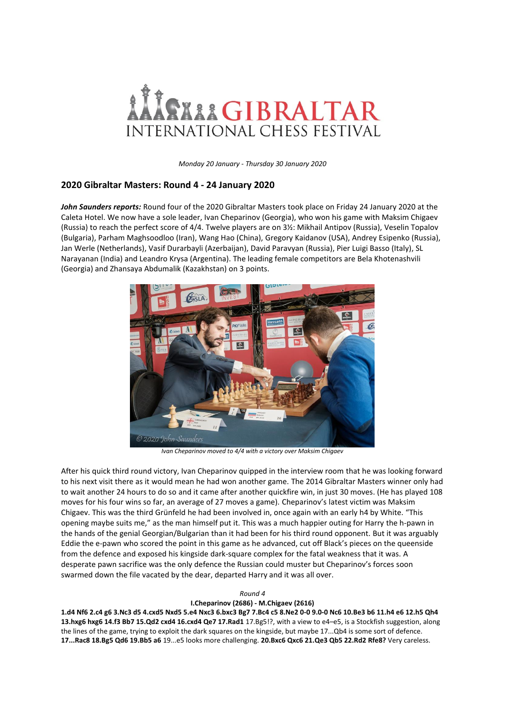

*Monday 20 January - Thursday 30 January 2020*

## **2020 Gibraltar Masters: Round 4 - 24 January 2020**

*John Saunders reports:* Round four of the 2020 Gibraltar Masters took place on Friday 24 January 2020 at the Caleta Hotel. We now have a sole leader, Ivan Cheparinov (Georgia), who won his game with Maksim Chigaev (Russia) to reach the perfect score of 4/4. Twelve players are on 3½: Mikhail Antipov (Russia), Veselin Topalov (Bulgaria), Parham Maghsoodloo (Iran), Wang Hao (China), Gregory Kaidanov (USA), Andrey Esipenko (Russia), Jan Werle (Netherlands), Vasif Durarbayli (Azerbaijan), David Paravyan (Russia), Pier Luigi Basso (Italy), SL Narayanan (India) and Leandro Krysa (Argentina). The leading female competitors are Bela Khotenashvili (Georgia) and Zhansaya Abdumalik (Kazakhstan) on 3 points.



*Ivan Cheparinov moved to 4/4 with a victory over Maksim Chigaev*

After his quick third round victory, Ivan Cheparinov quipped in the interview room that he was looking forward to his next visit there as it would mean he had won another game. The 2014 Gibraltar Masters winner only had to wait another 24 hours to do so and it came after another quickfire win, in just 30 moves. (He has played 108 moves for his four wins so far, an average of 27 moves a game). Cheparinov's latest victim was Maksim Chigaev. This was the third Grünfeld he had been involved in, once again with an early h4 by White. "This opening maybe suits me," as the man himself put it. This was a much happier outing for Harry the h-pawn in the hands of the genial Georgian/Bulgarian than it had been for his third round opponent. But it was arguably Eddie the e-pawn who scored the point in this game as he advanced, cut off Black's pieces on the queenside from the defence and exposed his kingside dark-square complex for the fatal weakness that it was. A desperate pawn sacrifice was the only defence the Russian could muster but Cheparinov's forces soon swarmed down the file vacated by the dear, departed Harry and it was all over.

## *Round 4*

## **I.Cheparinov (2686) - M.Chigaev (2616)**

**1.d4 Nf6 2.c4 g6 3.Nc3 d5 4.cxd5 Nxd5 5.e4 Nxc3 6.bxc3 Bg7 7.Bc4 c5 8.Ne2 0-0 9.0-0 Nc6 10.Be3 b6 11.h4 e6 12.h5 Qh4 13.hxg6 hxg6 14.f3 Bb7 15.Qd2 cxd4 16.cxd4 Qe7 17.Rad1** 17.Bg5!?, with a view to e4–e5, is a Stockfish suggestion, along the lines of the game, trying to exploit the dark squares on the kingside, but maybe 17...Qb4 is some sort of defence. **17...Rac8 18.Bg5 Qd6 19.Bb5 a6** 19...e5 looks more challenging. **20.Bxc6 Qxc6 21.Qe3 Qb5 22.Rd2 Rfe8?** Very careless.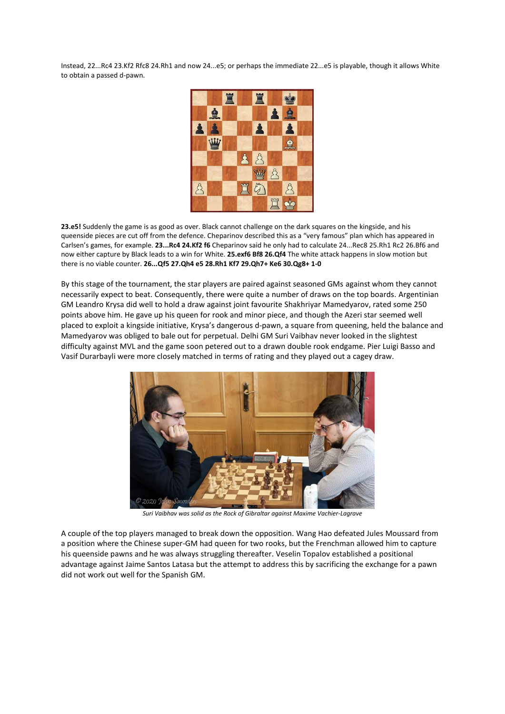Instead, 22...Rc4 23.Kf2 Rfc8 24.Rh1 and now 24...e5; or perhaps the immediate 22...e5 is playable, though it allows White to obtain a passed d-pawn.



**23.e5!** Suddenly the game is as good as over. Black cannot challenge on the dark squares on the kingside, and his queenside pieces are cut off from the defence. Cheparinov described this as a "very famous" plan which has appeared in Carlsen's games, for example. **23...Rc4 24.Kf2 f6** Cheparinov said he only had to calculate 24...Rec8 25.Rh1 Rc2 26.Bf6 and now either capture by Black leads to a win for White. **25.exf6 Bf8 26.Qf4** The white attack happens in slow motion but there is no viable counter. **26...Qf5 27.Qh4 e5 28.Rh1 Kf7 29.Qh7+ Ke6 30.Qg8+ 1-0**

By this stage of the tournament, the star players are paired against seasoned GMs against whom they cannot necessarily expect to beat. Consequently, there were quite a number of draws on the top boards. Argentinian GM Leandro Krysa did well to hold a draw against joint favourite Shakhriyar Mamedyarov, rated some 250 points above him. He gave up his queen for rook and minor piece, and though the Azeri star seemed well placed to exploit a kingside initiative, Krysa's dangerous d-pawn, a square from queening, held the balance and Mamedyarov was obliged to bale out for perpetual. Delhi GM Suri Vaibhav never looked in the slightest difficulty against MVL and the game soon petered out to a drawn double rook endgame. Pier Luigi Basso and Vasif Durarbayli were more closely matched in terms of rating and they played out a cagey draw.



*Suri Vaibhav was solid as the Rock of Gibraltar against Maxime Vachier-Lagrave*

A couple of the top players managed to break down the opposition. Wang Hao defeated Jules Moussard from a position where the Chinese super-GM had queen for two rooks, but the Frenchman allowed him to capture his queenside pawns and he was always struggling thereafter. Veselin Topalov established a positional advantage against Jaime Santos Latasa but the attempt to address this by sacrificing the exchange for a pawn did not work out well for the Spanish GM.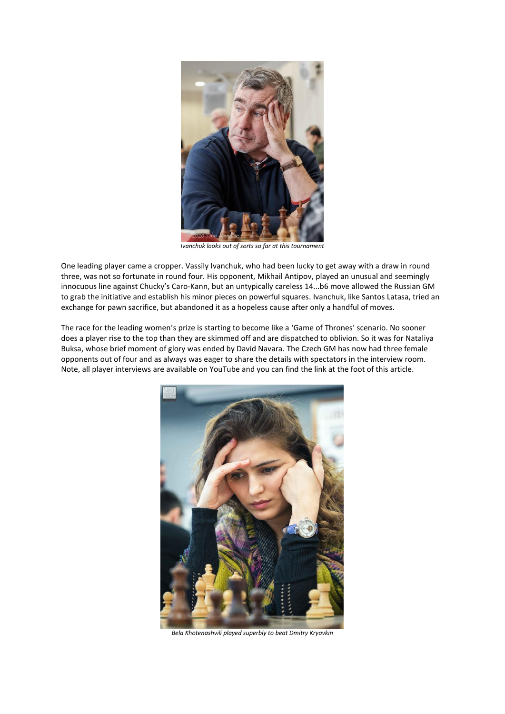

*Ivanchuk looks out of sorts so far at this tournament*

One leading player came a cropper. Vassily Ivanchuk, who had been lucky to get away with a draw in round three, was not so fortunate in round four. His opponent, Mikhail Antipov, played an unusual and seemingly innocuous line against Chucky's Caro-Kann, but an untypically careless 14...b6 move allowed the Russian GM to grab the initiative and establish his minor pieces on powerful squares. Ivanchuk, like Santos Latasa, tried an exchange for pawn sacrifice, but abandoned it as a hopeless cause after only a handful of moves.

The race for the leading women's prize is starting to become like a 'Game of Thrones' scenario. No sooner does a player rise to the top than they are skimmed off and are dispatched to oblivion. So it was for Nataliya Buksa, whose brief moment of glory was ended by David Navara. The Czech GM has now had three female opponents out of four and as always was eager to share the details with spectators in the interview room. Note, all player interviews are available on YouTube and you can find the link at the foot of this article.



*Bela Khotenashvili played superbly to beat Dmitry Kryavkin*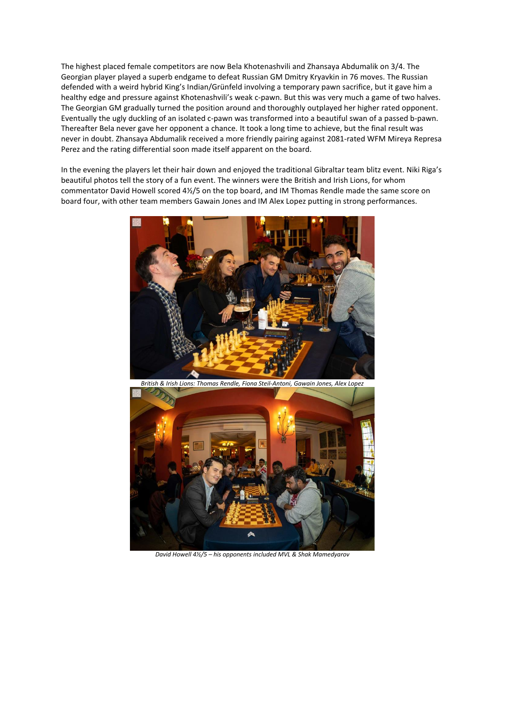The highest placed female competitors are now Bela Khotenashvili and Zhansaya Abdumalik on 3/4. The Georgian player played a superb endgame to defeat Russian GM Dmitry Kryavkin in 76 moves. The Russian defended with a weird hybrid King's Indian/Grünfeld involving a temporary pawn sacrifice, but it gave him a healthy edge and pressure against Khotenashvili's weak c-pawn. But this was very much a game of two halves. The Georgian GM gradually turned the position around and thoroughly outplayed her higher rated opponent. Eventually the ugly duckling of an isolated c-pawn was transformed into a beautiful swan of a passed b-pawn. Thereafter Bela never gave her opponent a chance. It took a long time to achieve, but the final result was never in doubt. Zhansaya Abdumalik received a more friendly pairing against 2081-rated WFM Mireya Represa Perez and the rating differential soon made itself apparent on the board.

In the evening the players let their hair down and enjoyed the traditional Gibraltar team blitz event. Niki Riga's beautiful photos tell the story of a fun event. The winners were the British and Irish Lions, for whom commentator David Howell scored 4½/5 on the top board, and IM Thomas Rendle made the same score on board four, with other team members Gawain Jones and IM Alex Lopez putting in strong performances.



*British & Irish Lions: Thomas Rendle, Fiona Steil-Antoni, Gawain Jones, Alex Lopez*



*David Howell 4½/5 – his opponents included MVL & Shak Mamedyarov*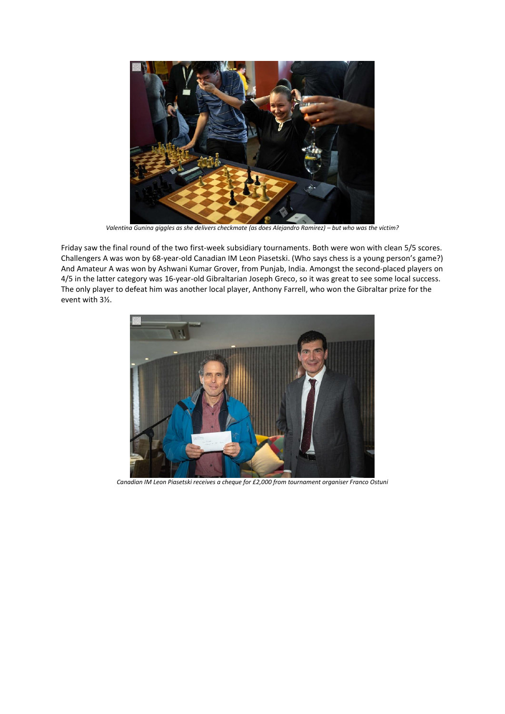

*Valentina Gunina giggles as she delivers checkmate (as does Alejandro Ramirez) – but who was the victim?* 

Friday saw the final round of the two first-week subsidiary tournaments. Both were won with clean 5/5 scores. Challengers A was won by 68-year-old Canadian IM Leon Piasetski. (Who says chess is a young person's game?) And Amateur A was won by Ashwani Kumar Grover, from Punjab, India. Amongst the second-placed players on 4/5 in the latter category was 16-year-old Gibraltarian Joseph Greco, so it was great to see some local success. The only player to defeat him was another local player, Anthony Farrell, who won the Gibraltar prize for the event with 3½.



*Canadian IM Leon Piasetski receives a cheque for £2,000 from tournament organiser Franco Ostuni*